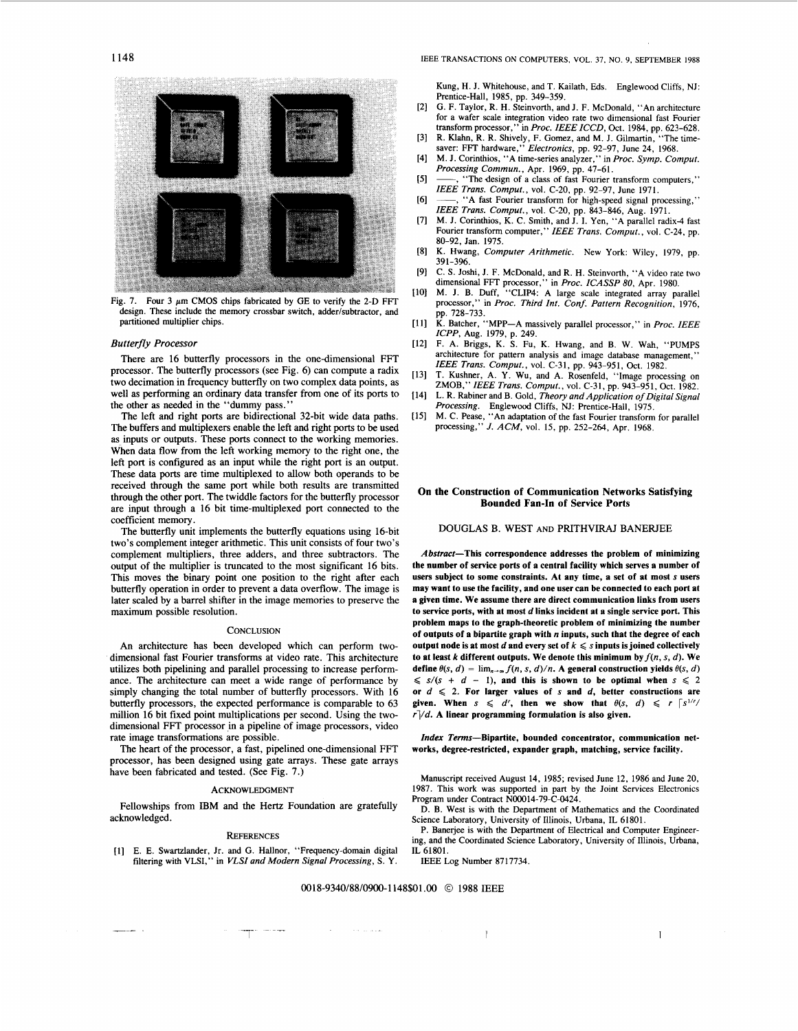

Fig. 7. Four 3  $\mu$ m CMOS chips fabricated by GE to verify the 2-D FFT design. These include the memory crossbar switch, adder/subtractor, and partitioned multiplier chips.

#### *Butterfly Processor*

There are 16 butterfly processors in the one-dimensional FFT processor. The butterfly processors (see Fig. 6) can compute a radix two decimation in frequency butterfly on two complex data points, as well as performing an ordinary data transfer from one of its ports to the other as needed in the "dummy pass."

The left and right ports are bidirectional 32-bit wide data paths. The buffers and multiplexers enable the left and right ports to be used as inputs or outputs. These ports connect to the working memories. When data flow from the left working memory to the right one, the left port is configured as an input while the right port is an output. These data ports are time multiplexed to allow both operands to be received through the same port while both results are transmitted through the other port. The twiddle factors for the butterfly processor are input through a 16 bit time-multiplexed port connected to the coefficient memory.

The butterfly unit implements the butterfly equations using 16-bit two's complement integer arithmetic. This unit consists of four two's complement multipliers, three adders, and three subtractors. The output of the multiplier is truncated to the most significant 16 bits. This moves the binary point one position to the right after each butterfly operation in order to prevent a data overflow. The image is later scaled by a barrel shifter in the image memories to preserve the maximum possible resolution.

#### **CONCLUSION**

An architecture has been developed which can perform twodimensional fast Fourier transforms at video rate. This architecture utilizes both pipelining and parallel processing to increase performance. The architecture can meet a wide range of performance by simply changing the total number of butterfly processors. With 16 butterfly processors, the expected performance is comparable to 63 million 16 bit fixed point multiplications per second. Using the twodimensional FFT processor in a pipeline of image processors, video rate image transformations are possible.

The heart of the processor, a fast, pipelined one-dimensional FFT processor, has been designed using gate arrays. These gate arrays have been fabricated and tested. (See Fig. 7.)

#### ACKNOWLEDGMENT

Fellowships from IBM and the Hertz Foundation are gratefully acknowledged.

### **REFERENCES**

[l] E. E. Swartzlander, Jr. and G. Hallnor, "Frequency-domain digital filtering with VLSI," in *VLSZ and Modern Signal Processing,* **S. Y.**  Kung, H. J. Whitehouse, and T. Kailath, Eds. Englewood Cliffs, NJ: Prentice-Hall, 1985, pp. 349-359.

- [2] G. F. Taylor, R. H. Steinvorth, and J. F. McDonald, "An architecture for a wafer scale integration video rate two dimensional fast Fourier transform processor," in *Proc. IEEE ICCD*, Oct. 1984, pp. 623-628.<br>R. Klahn, R. R. Shively, F. Gomez. and M. J. Gilmartin. "The time-
- [3] R. Klahn, **R.** R. Shively, F. Gomez, and M. J. Gilmartin, "The time-saver: FIT hardware," *Electronics,* pp. 92-97, June 24, 1968.
- [4] M. J. Corinthios, "A time-series analyzer," in *Proc. Symp. Comput. Processing Commun.,* Apr. 1969, pp. 47-61.
- [5] -, "The design of a class of fast Fourier transform computers," *ZEEE Trans. Comput.,* vol. C-20, pp. 92-97, June 1971.
- [6] -, "A fast Fourier transform for high-speed signal processing," *ZEEE Trans. Comput.,* vol. C-20, pp. 843-846, Aug. 1971.
- [7] M. J. Corinthios, K. C. Smith, and J. I. Yen, "A parallel radix4 fast Fourier transform computer," *IEEE Trans. Comput., vol. C-24, pp.* 80-92, Jan. 1975.
- [8] K. Hwang, *Computer Arithmetic.* New York: Wiley, 1979, pp. 391-396.
- [9] C. **S.** Joshi, J. F. McDonald, and R. H. Steinvorth, "A video rate two
- dimensional FFT processor," in *Proc. ICASSP 80*, Apr. 1980.<br>[10] M. J. B. Duff, "CLIP4: A large scale integrated array parallel processor," in *Proc. Third Int. Conf. Pattern Recognition*, 1976, pp. 728-733.
- [ll] **K.** Batcher, "MPP-A massively parallel processor," in *Proc. ZEEE ZCPP,* Aug. 1979, p. 249.
- [12] F. A. Briggs, K. **S.** Fu, K. Hwang, and B. W. Wah, "PUMPS architecture for pattern analysis and image database management, *ZEEE Trans. Comput.,* vol. C-31, pp. 943-951, Oct. 1982.
- 1131 T. Kushner, A. Y. Wu, and A. Rosenfeld, "Image processing on ZMOB," *ZEEE Trans. Comput.,* vol. C-31, pp. 943-951, Oct. 1982.
- [ 141 L. R. Rabiner and B. Gold, *Theory and Application of Digital Signal Processing.* Englewood Cliffs, NJ: Prentice-Hall, 1975.
- [15] M. C. Pease, "An adaptation of the fast Fourier transform for parallel processing," *J. ACM,* vol. 15, pp. 252-264, Apr. 1968.

## **On the Construction of Communication Networks Satisfying Bounded Fan-In of Service Ports**

DOUGLAS B. WEST AND PRITHVIRAJ BANERJEE

**Abstract-This correspondence addresses the problem of minimizing the number of service ports of a central facility which serves a number of users subject to some constraints. At any time, a set of at most s users may want to use the facility, and one user can be connected to each port at a given time. We assume there are direct communication links from users to service ports, with at most** *d* **links incident at a single service port. This problem maps to the graph-theoretic problem of minimizing the number of outputs of a bipartite graph with** *n* **inputs, such that the degree of each output node is at most** *d* **and every set of**  $k \leq s$  **inputs is joined collectively** to at least  $k$  different outputs. We denote this minimum by  $f(n, s, d)$ . We **define**  $\theta(s, d) = \lim_{n \to \infty} f(n, s, d)/n$ . A **general construction yields**  $\theta(s, d)$  $\leqslant$   $s/(s + d - 1)$ , and this is shown to be optimal when  $s \leqslant 2$ or  $d \leq 2$ . For larger values of s and *d*, better constructions are **given.** When  $s \le d'$ , then we show that  $\theta(s, d) \le r \lceil s^{1/r}/r \rceil$ *rl/d.* **A linear programming formulation is also given.** 

*Index* **Terns-Bipartite, bounded concentrator, communication networks, degree-restricted, expander graph, matching, service facility.** 

Manuscript received August 14, 1985; revised June 12, 1986 and June 20, 1987. This work was supported in part by the Joint Services Electronics Program under Contract N00014-79-C-0424.

D. B. West is with the Department of Mathematics and the Coordinated Science Laboratory, University of Illinois, Urbana, IL 61801.

P. Banerjee is with the Department of Electrical and Computer Engineering, and the Coordinated Science Laboratory, University of Illinois, Urbana, IL 61801.

IEEE Log Number 8717734.

# **OO18-9340/88/0900-1148\$01** .OO *O* 1988 IEEE

-I- - 1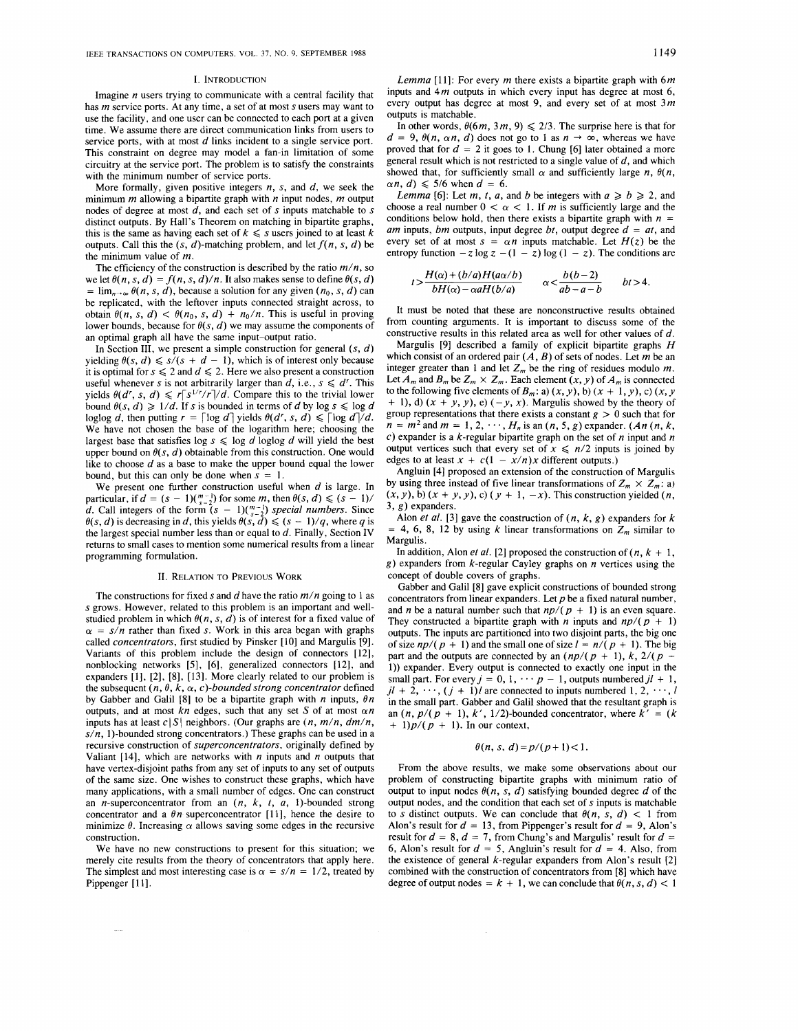#### I. INTRODUCTION

Imagine  $n$  users trying to communicate with a central facility that has  $m$  service ports. At any time, a set of at most  $s$  users may want to use the facility, and one user can be connected to each port at a given time. We assume there are direct communication links from users to service ports, with at most *d* links incident to a single service port. This constraint on degree may model a fan-in limitation of some circuitry at the service port. The problem is to satisfy the constraints with the minimum number of service ports.

More formally, given positive integers *n,* s, and *d,* we seek the minimum  $m$  allowing a bipartite graph with  $n$  input nodes,  $m$  output nodes of degree at most  $\tilde{d}$ , and each set of s inputs matchable to s distinct outputs. By Hall's Theorem on matching in bipartite graphs, this is the same as having each set of  $k \leq s$  users joined to at least k outputs. Call this the  $(s, d)$ -matching problem, and let  $f(n, s, d)$  be the minimum value of m.

The efficiency of the construction is described by the ratio  $m/n$ , so we let  $\theta(n, s, d) = f(n, s, d)/n$ . It also makes sense to define  $\theta(s, d)$  $= \lim_{n\to\infty} \theta(n, s, d)$ , because a solution for any given  $(n_0, s, d)$  can be replicated, with the leftover inputs connected straight across, to obtain  $\theta(n, s, d) < \theta(n_0, s, d) + n_0/n$ . This is useful in proving lower bounds, because for  $\theta(s, d)$  we may assume the components of an optimal graph all have the same input-output ratio.

In Section III, we present a simple construction for general  $(s, d)$ yielding  $\theta(s, d) \leq s/(s + d - 1)$ , which is of interest only because it is optimal for  $s \le 2$  and  $d \le 2$ . Here we also present a construction useful whenever s is not arbitrarily larger than  $d$ , i.e.,  $s \le d^r$ . This yields  $\theta(d', s, d) \le r[s^{1/r}/r]/d$ . Compare this to the trivial lower bound  $\theta(s, d) \geq 1/d$ . If s is bounded in terms of *d* by log  $s \leq \log d$ loglog *d*, then putting  $r = \lceil \log d \rceil$  yields  $\theta(d^r, s, d) \leq \lceil \log d \rceil / d$ . We have not chosen the base of the logarithm here; choosing the largest base that satisfies  $\log s \leq \log d$  loglog *d* will yield the best upper bound on  $\theta(s, d)$  obtainable from this construction. One would like to choose *d* as a base to make the upper bound equal the lower bound, but this can only be done when  $s = 1$ .

We present one further construction useful when *d* is large. In particular, if  $d = (s - 1)\binom{m-1}{s-2}$  for some m, then  $\theta(s, d) \leq (s - 1)$ / *d.* Call integers of the form  $(s - 1)(\binom{m-1}{s-2})$  *special numbers.* Since  $\theta(s, d)$  is decreasing in *d*, this yields  $\theta(s, d) \leq (s - 1)/q$ , where *q* is the largest special number less than or equal to *d.* Finally, Section IV returns to small cases to mention some numerical results from a linear programming formulation.

#### 11. RELATION TO PREVIOUS WORK

The constructions for fixed s and *d* have the ratio m/n going to 1 as s grows. However, related to this problem is an important and wellstudied problem in which  $\theta(n, s, d)$  is of interest for a fixed value of  $\alpha = s/n$  rather than fixed s. Work in this area began with graphs called *concentrators*, first studied by Pinsker [10] and Margulis [9]. Variants of this problem include the design of connectors [12], nonblocking networks [5], [6], generalized connectors [12], and expanders [l], [2], [8], [13]. More clearly related to our problem is the subsequent  $(n, \theta, k, \alpha, c)$ -bounded strong concentrator defined by Gabber and Galil [8] to be a bipartite graph with  $n$  inputs,  $\theta n$ outputs, and at most  $kn$  edges, such that any set *S* of at most  $\alpha n$ inputs has at least  $c|S|$  neighbors. (Our graphs are  $(n, m/n, dm/n,$  $s/n$ , 1)-bounded strong concentrators.) These graphs can be used in a recursive construction of *superconcentrators,* originally defined by Valiant  $[14]$ , which are networks with *n* inputs and *n* outputs that have vertex-disjoint paths from any set of inputs to any set of outputs of the same size. One wishes to construct these graphs, which have many applications, with a small number of edges. One can construct an n-superconcentrator from an *(n,* k, *t, a,* 1)-bounded strong concentrator and a  $\theta n$  superconcentrator [11], hence the desire to minimize  $\theta$ . Increasing  $\alpha$  allows saving some edges in the recursive construction.

We have no new constructions to present for this situation; we merely cite results from the theory of concentrators that apply here. The simplest and most interesting case is  $\alpha = s/n = 1/2$ , treated by Pippenger [11].

 $\sim$ 

Lemma [11]: For every m there exists a bipartite graph with  $6m$ inputs and  $4m$  outputs in which every input has degree at most  $6$ , every output has degree at most 9, and every set of at most  $3m$ outputs is matchable.

In other words,  $\theta(6m, 3m, 9) \le 2/3$ . The surprise here is that for  $d = 9$ ,  $\theta(n, \alpha n, d)$  does not go to 1 as  $n \to \infty$ , whereas we have proved that for  $d = 2$  it goes to 1. Chung [6] later obtained a more general result which is not restricted to a single value of *d,* and which showed that, for sufficiently small  $\alpha$  and sufficiently large *n*,  $\theta(n, \theta)$  $\alpha n$ , *d*)  $\leq 5/6$  when  $d = 6$ .

*Lemma* [6]: Let *m*, *t*, *a*, and *b* be integers with  $a \ge b \ge 2$ , and choose a real number  $0 < \alpha < 1$ . If m is sufficiently large and the conditions below hold, then there exists a bipartite graph with  $n =$ *am* inputs, *bm* outputs, input degree *bt,* output degree *d* = *at,* and every set of at most  $s = \alpha n$  inputs matchable. Let  $H(z)$  be the entropy function  $-z \log z - (1 - z) \log (1 - z)$ . The conditions are

$$
t>\frac{H(\alpha)+(b/a)H(a\alpha/b)}{bH(\alpha)-\alpha aH(b/a)}\qquad \alpha<\frac{b(b-2)}{ab-a-b}\qquad bt>4.
$$

It must be noted that these are nonconstructive results obtained from counting arguments. It is important to discuss some of the constructive results in this related area as well for other values of *d.* 

Margulis [9] described a family of explicit bipartite graphs *H*  which consist of an ordered pair *(A, B)* of sets of nodes. Let m be an integer greater than 1 and let  $Z_m$  be the ring of residues modulo m. Let  $A_m$  and  $B_m$  be  $Z_m \times Z_m$ . Each element  $(x, y)$  of  $A_m$  is connected to the following five elements of  $B_m$ : a)  $(x, y)$ , b)  $(x + 1, y)$ , c)  $(x, y)$  $+$  1), d)  $(x + y, y)$ , e)  $(-y, x)$ . Margulis showed by the theory of group representations that there exists a constant  $g > 0$  such that for  $n = m^2$  and  $m = 1, 2, \dots, H_n$  is an  $(n, 5, g)$  expander.  $(An(n, k,$ *c)* expander is a k-regular bipartite graph on the set of n input and *n*  output vertices such that every set of  $x \le n/2$  inputs is joined by edges to at least  $x + c(1 - x/n)x$  different outputs.)

Angluin [4] proposed an extension of the construction of Margulis by using three instead of five linear transformations of  $Z_m \times Z_m$ : a)  $(x, y)$ , b)  $(x + y, y)$ , c)  $(y + 1, -x)$ . This construction yielded  $(n,$ **3, g)** expanders.

Alon *et al.* [3] gave the construction of  $(n, k, g)$  expanders for  $k$  $= 4, 6, 8, 12$  by using k linear transformations on  $Z_m$  similar to Margulis.

In addition, Alon *et al.* [2] proposed the construction of  $(n, k + 1,$ **g)** expanders from k-regular Cayley graphs on n vertices using the concept of double covers of graphs.

Gabber and Galil [8] gave explicit constructions of bounded strong concentrators from linear expanders. Let  $p$  be a fixed natural number, and *n* be a natural number such that  $np/(p + 1)$  is an even square. They constructed a bipartite graph with *n* inputs and  $np/(p + 1)$ outputs. The inputs are partitioned into two disjoint parts, the big one of size  $np/(p + 1)$  and the small one of size  $l = n/(p + 1)$ . The big part and the outputs are connected by an  $(np/(p + 1), k, 2/(p-1))$ **1))** expander. Every output is connected to exactly one input in the small part. For every  $j = 0, 1, \cdots p - 1$ , outputs numbered  $jl + 1$ ,  $j\ell + 2, \dots, (j + 1)\ell$  are connected to inputs numbered 1, 2,  $\dots, l$ in the small part. Gabber and Galil showed that the resultant graph is an  $(n, p/(p + 1), k', 1/2)$ -bounded concentrator, where  $k' = (k)$  $+ 1$ ) $p/(p + 1)$ . In our context,

#### $h(n, s, d) = p/(p+1) < 1$ .

From the above results, we make some observations about our problem of constructing bipartite graphs with minimum ratio of output to input nodes  $\theta(n, s, d)$  satisfying bounded degree *d* of the output nodes, and the condition that each set of s inputs is matchable to *s* distinct outputs. We can conclude that  $\theta(n, s, d) < 1$  from Alon's result for  $d = 13$ , from Pippenger's result for  $d = 9$ , Alon's result for  $d = 8$ ,  $d = 7$ , from Chung's and Margulis' result for  $d =$ 6, Alon's result for  $d = 5$ , Angluin's result for  $d = 4$ . Also, from the existence of general k-regular expanders from Alon's result [2] combined with the construction of concentrators from [8] which have degree of output nodes =  $k + 1$ , we can conclude that  $\theta(n, s, d) < 1$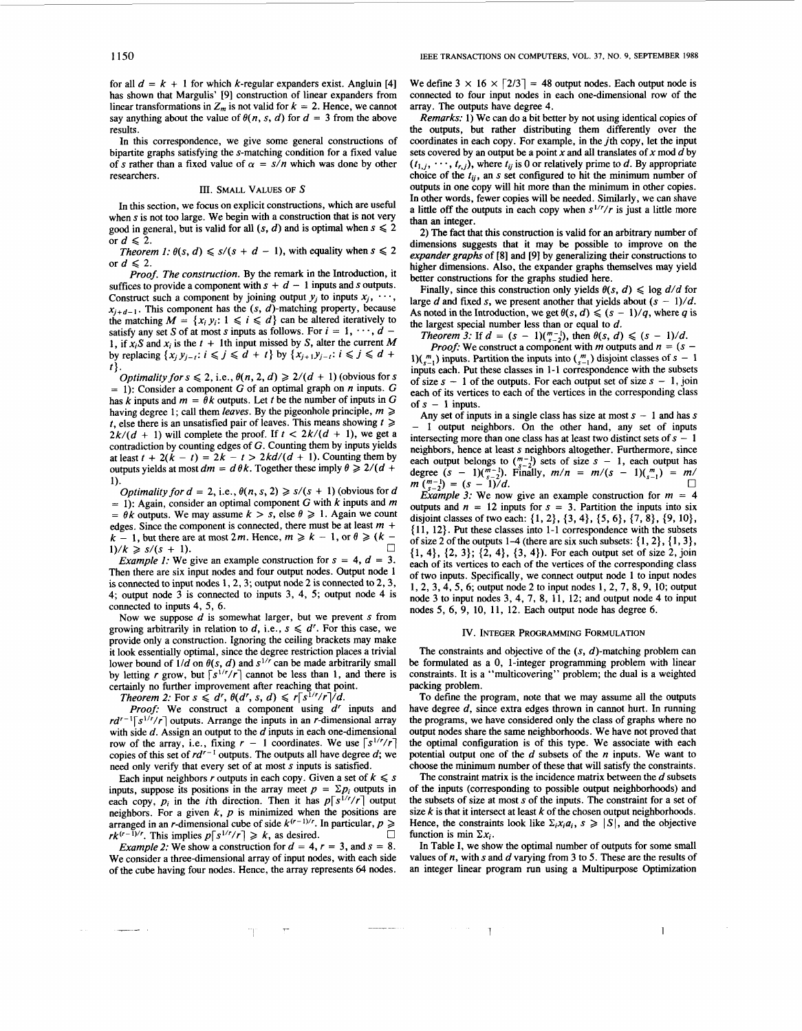for all  $d = k + 1$  for which k-regular expanders exist. Angluin [4] has shown that Margulis' [9] construction of linear expanders from linear transformations in  $Z_m$  is not valid for  $k = 2$ . Hence, we cannot say anything about the value of  $\theta(n, s, d)$  for  $d = 3$  from the above results.

In this correspondence, we give some general constructions of bipartite graphs satisfying the s-matching condition for a fixed value of s rather than a fixed value of  $\alpha = s/n$  which was done by other researchers.

## **III.** SMALL VALUES OF *S*

In this section, we focus on explicit constructions, which are useful when s is not too large. We begin with a construction that is not very good in general, but is valid for all  $(s, d)$  and is optimal when  $s \leq 2$ or  $d \leqslant 2$ .

Theorem 1:  $\theta(s, d) \leq s/(s + d - 1)$ , with equality when  $s \leq 2$ or  $d \leqslant 2$ .

Proof. The construction. By the remark in the Introduction, it suffices to provide a component with  $s + d - 1$  inputs and *s* outputs. Construct such a component by joining output  $y_j$  to inputs  $x_j$ ,  $\cdots$ ,  $X_{i+d-1}$ . This component has the  $(s, d)$ -matching property, because the matching  $M = \{x_i, y_i: 1 \leq i \leq d\}$  can be altered iteratively to satisfy any set *S* of at most *s* inputs as follows. For  $i = 1, \dots, d$  -1, if  $x_iS$  and  $x_i$  is the  $t + 1$ th input missed by S, alter the current M by replacing  $\{x_j, y_{j-i} : i \le j \le d + t\}$  by  $\{x_{j+1}, y_{j-i} : i \le j \le d + t\}$ t}.

Optimality for  $s \leq 2$ , i.e.,  $\theta(n, 2, d) \geq 2/(d + 1)$  (obvious for s  $= 1$ : Consider a component G of an optimal graph on *n* inputs. G has k inputs and  $m = \theta k$  outputs. Let t be the number of inputs in G having degree 1; call them *leaves*. By the pigeonhole principle,  $m \geq$ t, else there is an unsatisfied pair of leaves. This means showing  $t \geqslant$  $2k/(d + 1)$  will complete the proof. If  $t < 2k/(d + 1)$ , we get a contradiction by counting edges of G. Counting them by inputs yields at least  $t + 2(\tilde{k} - t) = 2\tilde{k} - t > 2kd/(d + 1)$ . Counting them by outputs yields at most  $dm = d \theta k$ . Together these imply  $\theta \ge 2/(d +$ 1).

Optimality for  $d = 2$ , i.e.,  $\theta(n, s, 2) \geq s/(s + 1)$  (obvious for d  $= 1$ : Again, consider an optimal component G with k inputs and m  $= \theta k$  outputs. We may assume  $k > s$ , else  $\theta \ge 1$ . Again we count edges. Since the component is connected, there must be at least *m* +  $k - 1$ , but there are at most 2*m*. Hence,  $m \ge k - 1$ , or  $\theta \ge (k - 1)$ *0*   $1)/k \ge s/(s + 1).$ 

*Example 1:* We give an example construction for  $s = 4$ ,  $d = 3$ . Then there are six input nodes and four output nodes. Output node 1 is connected to input nodes **1,2,3;** output node 2 is connected to 2,3, **4;** output node **3** is connected to inputs **3, 4, 5;** output node **4** is connected to inputs **4,** *5,* 6.

Now we suppose *d* is somewhat larger, but we prevent s from growing arbitrarily in relation to  $d$ , i.e.,  $s \le d'$ . For this case, we provide only a construction. Ignoring the ceiling brackets may make it look essentially optimal, since the degree restriction places a trivial lower bound of  $1/d$  on  $\theta(s, d)$  and  $s^{1/r}$  can be made arbitrarily small by letting r grow, but  $\lceil s^{1/r}/r \rceil$  cannot be less than 1, and there is certainly no further improvement after reaching that point.

Theorem 2: For  $s \le d^r$ ,  $\theta(d^r, s, d) \le r[s^{1/r}/r]/d$ .

Proof: We construct a component using *dr* inputs and  $rd^{r-1}\lceil s^{1/r}/r \rceil$  outputs. Arrange the inputs in an r-dimensional array with side *d.* Assign an output to the *d* inputs in each one-dimensional with side *d*. Assign an output to the *d* inputs in each one-dimensional row of the array, i.e., fixing  $r - 1$  coordinates. We use  $\lceil s^{1/r}/r \rceil$  copies of this set of  $rd^{r-1}$  outputs. The outputs all have degree *d*; w need only verify that every set of at most s inputs is satisfied.

Each input neighbors r outputs in each copy. Given a set of  $k \le s$  inputs, suppose its positions in the array meet  $p = \sum p_i$  outputs in each copy,  $p_i$  in the *i*th direction. Then it has  $p\lceil s^{1/r}/r \rceil$  output neighbors. For a given  $k$ ,  $p$  is minimized when the positions are arranged in an *r*-dimensional cube of side  $k^{(r-1)/r}$ . In particular,  $p \geqslant$ *0*   $rk^{(r-1)/r}$ . This implies  $p\lceil s^{1/r}/r \rceil \geq k$ , as desired.

Example 2: We show a construction for  $d = 4$ ,  $r = 3$ , and  $s = 8$ . We consider a three-dimensional array of input nodes, with each side of the cube having four nodes. Hence, the array represents *64* nodes.

mp.

We define  $3 \times 16 \times \lceil 2/3 \rceil = 48$  output nodes. Each output node is connected to four input nodes in each one-dimensional row of the array. The outputs have degree **4.** 

Remarks: 1) We can do a bit better by not using identical copies of the outputs, but rather distributing them differently over the coordinates in each copy. For example, in the jth copy, let the input sets covered by an output be a point  $x$  and all translates of  $x \mod d$  by  $(t_{1,j}, \dots, t_{r,j})$ , where  $t_{ij}$  is 0 or relatively prime to *d*. By appropriate choice of the  $t_{ij}$ , an s set configured to hit the minimum number of outputs in one copy will hit more than the minimum in other copies. In other words, fewer copies **will** be needed. Similarly, we can shave a little off the outputs in each copy when  $s^{1/r}/r$  is just a little more **than an** integer.

2) The fact that this construction is valid for an arbitrary number of dimensions suggests that it may be possible to improve on the expander graphs of **[8]** and [9] by generalizing their constructions to higher dimensions. Also, the expander graphs themselves may yield better constructions for the graphs studied here.

Finally, since this construction only yields  $\theta(s, d) \leq \log d/d$  for large *d* and fixed *s*, we present another that yields about  $(s - 1)/d$ . As noted in the Introduction, we get  $\theta(s, d) \leq (s - 1)/q$ , where q is the largest special number less than or equal to *d.* 

Theorem 3: If  $d = (s - 1)\binom{m-1}{s-2}$ , then  $\theta(s, d) \leq (s - 1)/d$ .

*Proof:* We construct a component with *m* outputs and  $n = (s -$ 1)( $\binom{m}{s-1}$ ) inputs. Partition the inputs into  $\binom{m}{s-1}$  disjoint classes of  $s - 1$ inputs each. Put these classes in 1-1 correspondence with the subsets of size  $s - 1$  of the outputs. For each output set of size  $s - 1$ , join each of its vertices to each of the vertices in the corresponding class of  $s - 1$  inputs.

Any set of inputs in a single class has size at most  $s - 1$  and has s - 1 output neighbors. On the other hand, any set of inputs intersecting more than one class has at least two distinct sets of  $s - 1$ neighbors, hence at least **s** neighbors altogether. Furthermore, since each output belongs to  $\binom{m-1}{s-2}$  sets of size  $s - 1$ , each output has each output belongs to  $\binom{n-1}{s-2}$  sets of size  $s - 1$ , each output has degree  $(s - 1)\binom{n-1}{s-2}$ . Finally,  $m/n = m/(s - 1)\binom{m}{s-1} = m/2$ degree  $(s - 1)(\frac{n}{s-2})$ . Finally,  $m/n = m/(s - 1)(\frac{n-1}{s-1}) = m/n$ <br>  $m(\frac{m-1}{s-2}) = (s - 1)/d.$ 

Example 3: We now give an example construction for  $m = 4$ outputs and  $n = 12$  inputs for  $s = 3$ . Partition the inputs into six disjoint classes of two each: (1,2}, **(3,4},** *{5,6},* (7, **8},** (9, lo}, { 11, 12). Put these classes into 1-1 correspondence with the subsets of size 2 of the outputs  $1-4$  (there are six such subsets:  $\{1, 2\}$ ,  $\{1, 3\}$ , (1, **4},** {2, **3);** (2, **4}, (3, 4)).** For each output set of size **2,** join each of its vertices to each of the vertices of the corresponding class of two inputs. Specifically, we connect output node 1 to input nodes 1,2, **3,4, 5,** 6; output node 2 to input nodes 1,2, **7,** 8, 9, 10; output node 3 to input nodes 3, **4,** 7, **8,** 11, 12; and output node **4** to input nodes *5,* 6, 9, 10, 11, **12.** Each output node has degree 6.

#### **IV.** INTEGER PROGRAMMING FORMULATION

The constraints and objective of the **(s,** d)-matching problem can be formulated as a 0, 1-integer programming problem with linear constraints. It is a "multicovering" problem; the dual is a weighted packing problem.

To define the program, note that we may assume all the outputs have degree *d,* since extra edges thrown in cannot hurt. In running the programs, we have considered only the class of graphs where no output nodes share the same neighborhoods. We have not proved that the optimal configuration is of this type. We associate with each potential output one of the *d* subsets of the *n* inputs. We want to choose the minimum number of these that will satisfy the constraints.

The constraint matrix is the incidence matrix between the *d* subsets of the inputs (corresponding to possible output neighborhoods) and the subsets of size at most s of the inputs. The constraint for a set of size  $k$  is that it intersect at least  $k$  of the chosen output neighborhoods. Hence, the constraints look like  $\Sigma_i x_i a_i$ ,  $s \geq |S|$ , and the objective function is min  $\Sigma x_i$ .

In Table I, we show the optimal number of outputs for some small values of *n,* with s and *d* varying from **3** to 5. These are the results of an integer linear program run using a Multipurpose Optimization

1 1